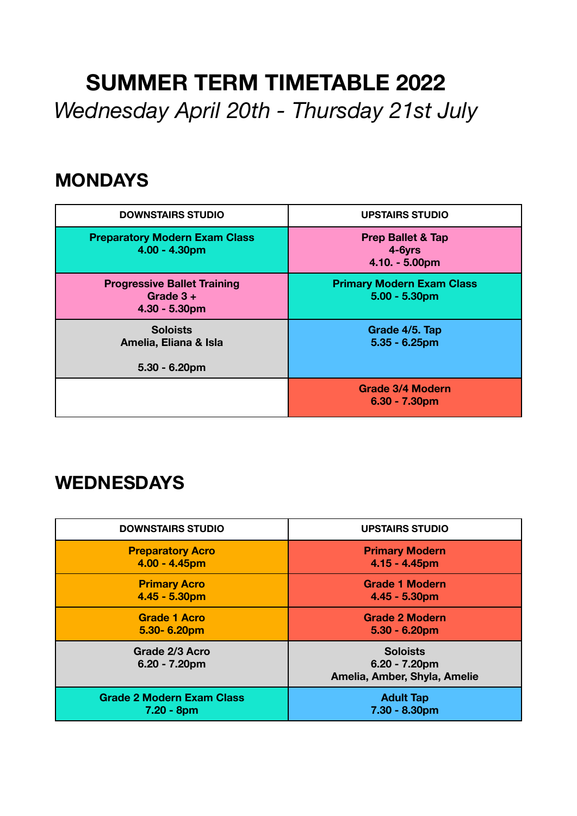# **SUMMER TERM TIMETABLE 2022**  *Wednesday April 20th - Thursday 21st July*

### **MONDAYS**

| <b>DOWNSTAIRS STUDIO</b>                                             | <b>UPSTAIRS STUDIO</b>                                     |  |
|----------------------------------------------------------------------|------------------------------------------------------------|--|
| <b>Preparatory Modern Exam Class</b><br>$4.00 - 4.30pm$              | <b>Prep Ballet &amp; Tap</b><br>4-6yrs<br>$4.10. - 5.00pm$ |  |
| <b>Progressive Ballet Training</b><br>Grade $3 +$<br>$4.30 - 5.30pm$ | <b>Primary Modern Exam Class</b><br>$5.00 - 5.30pm$        |  |
| <b>Soloists</b><br>Amelia, Eliana & Isla<br>$5.30 - 6.20$ pm         | Grade 4/5. Tap<br>$5.35 - 6.25$ pm                         |  |
|                                                                      | <b>Grade 3/4 Modern</b><br>$6.30 - 7.30$ pm                |  |

### **WEDNESDAYS**

| <b>DOWNSTAIRS STUDIO</b>           | <b>UPSTAIRS STUDIO</b>                                              |  |
|------------------------------------|---------------------------------------------------------------------|--|
| <b>Preparatory Acro</b>            | <b>Primary Modern</b>                                               |  |
| $4.00 - 4.45$ pm                   | $4.15 - 4.45$ pm                                                    |  |
| <b>Primary Acro</b>                | <b>Grade 1 Modern</b>                                               |  |
| $4.45 - 5.30pm$                    | $4.45 - 5.30pm$                                                     |  |
| <b>Grade 1 Acro</b>                | <b>Grade 2 Modern</b>                                               |  |
| $5.30 - 6.20pm$                    | $5.30 - 6.20$ pm                                                    |  |
| Grade 2/3 Acro<br>$6.20 - 7.20$ pm | <b>Soloists</b><br>$6.20 - 7.20$ pm<br>Amelia, Amber, Shyla, Amelie |  |
| <b>Grade 2 Modern Exam Class</b>   | <b>Adult Tap</b>                                                    |  |
| $7.20 - 8pm$                       | 7.30 - 8.30pm                                                       |  |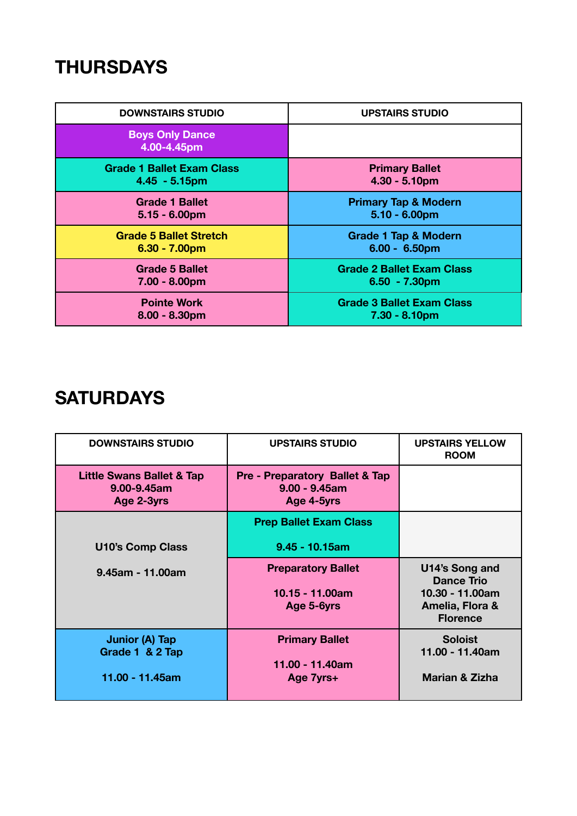## **THURSDAYS**

| <b>DOWNSTAIRS STUDIO</b>              | <b>UPSTAIRS STUDIO</b>           |  |
|---------------------------------------|----------------------------------|--|
| <b>Boys Only Dance</b><br>4.00-4.45pm |                                  |  |
| <b>Grade 1 Ballet Exam Class</b>      | <b>Primary Ballet</b>            |  |
| $4.45 - 5.15$ pm                      | $4.30 - 5.10pm$                  |  |
| <b>Grade 1 Ballet</b>                 | <b>Primary Tap &amp; Modern</b>  |  |
| $5.15 - 6.00pm$                       | $5.10 - 6.00$ pm                 |  |
| <b>Grade 5 Ballet Stretch</b>         | <b>Grade 1 Tap &amp; Modern</b>  |  |
| $6.30 - 7.00pm$                       | $6.00 - 6.50pm$                  |  |
| <b>Grade 5 Ballet</b>                 | <b>Grade 2 Ballet Exam Class</b> |  |
| $7.00 - 8.00pm$                       | $6.50 - 7.30pm$                  |  |
| <b>Pointe Work</b>                    | <b>Grade 3 Ballet Exam Class</b> |  |
| $8.00 - 8.30pm$                       | $7.30 - 8.10pm$                  |  |

# **SATURDAYS**

| <b>DOWNSTAIRS STUDIO</b>                                          | <b>UPSTAIRS STUDIO</b>                                           | <b>UPSTAIRS YELLOW</b><br><b>ROOM</b>                                                        |
|-------------------------------------------------------------------|------------------------------------------------------------------|----------------------------------------------------------------------------------------------|
| <b>Little Swans Ballet &amp; Tap</b><br>9.00-9.45am<br>Age 2-3yrs | Pre - Preparatory Ballet & Tap<br>$9.00 - 9.45$ am<br>Age 4-5yrs |                                                                                              |
|                                                                   | <b>Prep Ballet Exam Class</b>                                    |                                                                                              |
| <b>U10's Comp Class</b>                                           | $9.45 - 10.15$ am                                                |                                                                                              |
| 9.45am - 11.00am                                                  | <b>Preparatory Ballet</b><br>10.15 - 11.00am<br>Age 5-6yrs       | U14's Song and<br><b>Dance Trio</b><br>10.30 - 11.00am<br>Amelia, Flora &<br><b>Florence</b> |
| <b>Junior (A) Tap</b><br>Grade 1 & 2 Tap<br>11.00 - 11.45am       | <b>Primary Ballet</b><br>11.00 - 11.40am<br>Age 7yrs+            | <b>Soloist</b><br>11.00 - 11.40am<br>Marian & Zizha                                          |